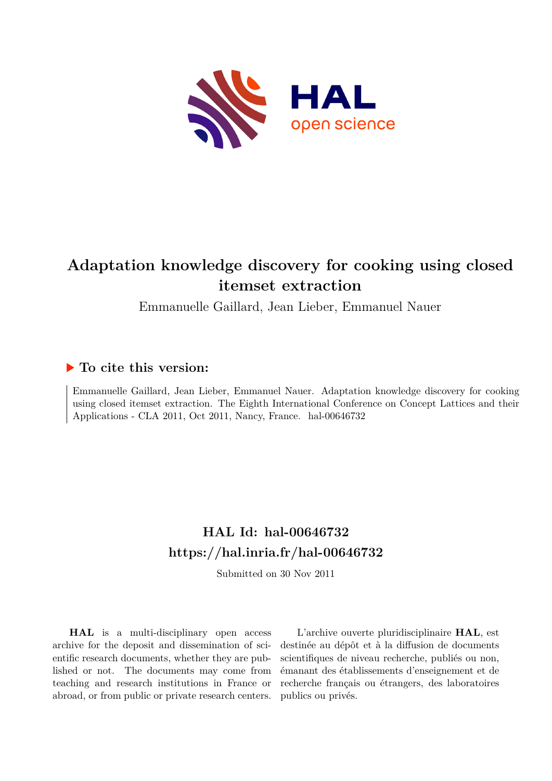

# **Adaptation knowledge discovery for cooking using closed itemset extraction**

Emmanuelle Gaillard, Jean Lieber, Emmanuel Nauer

# **To cite this version:**

Emmanuelle Gaillard, Jean Lieber, Emmanuel Nauer. Adaptation knowledge discovery for cooking using closed itemset extraction. The Eighth International Conference on Concept Lattices and their Applications - CLA 2011, Oct 2011, Nancy, France. hal-00646732

# **HAL Id: hal-00646732 <https://hal.inria.fr/hal-00646732>**

Submitted on 30 Nov 2011

**HAL** is a multi-disciplinary open access archive for the deposit and dissemination of scientific research documents, whether they are published or not. The documents may come from teaching and research institutions in France or abroad, or from public or private research centers.

L'archive ouverte pluridisciplinaire **HAL**, est destinée au dépôt et à la diffusion de documents scientifiques de niveau recherche, publiés ou non, émanant des établissements d'enseignement et de recherche français ou étrangers, des laboratoires publics ou privés.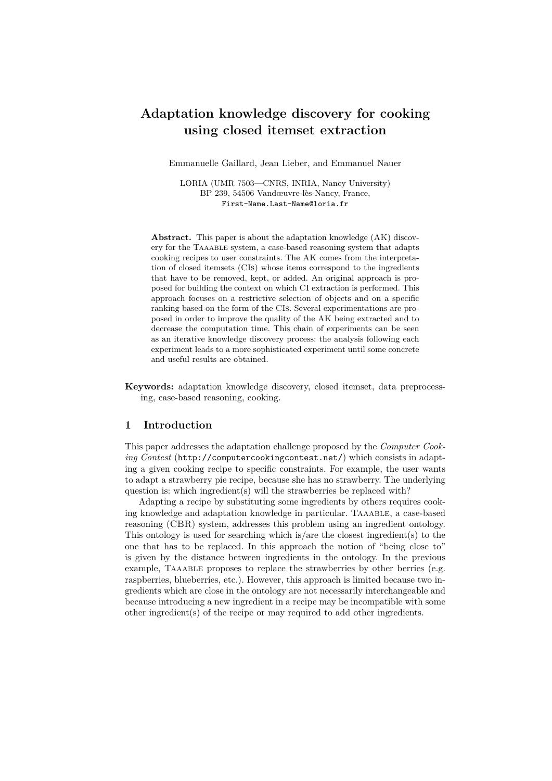# **Adaptation knowledge discovery for cooking using closed itemset extraction**

Emmanuelle Gaillard, Jean Lieber, and Emmanuel Nauer

LORIA (UMR 7503—CNRS, INRIA, Nancy University) BP 239, 54506 Vandœuvre-lès-Nancy, France, First-Name.Last-Name@loria.fr

**Abstract.** This paper is about the adaptation knowledge (AK) discovery for the Taaable system, a case-based reasoning system that adapts cooking recipes to user constraints. The AK comes from the interpretation of closed itemsets (CIs) whose items correspond to the ingredients that have to be removed, kept, or added. An original approach is proposed for building the context on which CI extraction is performed. This approach focuses on a restrictive selection of objects and on a specific ranking based on the form of the CIs. Several experimentations are proposed in order to improve the quality of the AK being extracted and to decrease the computation time. This chain of experiments can be seen as an iterative knowledge discovery process: the analysis following each experiment leads to a more sophisticated experiment until some concrete and useful results are obtained.

**Keywords:** adaptation knowledge discovery, closed itemset, data preprocessing, case-based reasoning, cooking.

#### **1 Introduction**

This paper addresses the adaptation challenge proposed by the *Computer Cooking Contest* (http://computercookingcontest.net/) which consists in adapting a given cooking recipe to specific constraints. For example, the user wants to adapt a strawberry pie recipe, because she has no strawberry. The underlying question is: which ingredient(s) will the strawberries be replaced with?

Adapting a recipe by substituting some ingredients by others requires cooking knowledge and adaptation knowledge in particular. Taaable, a case-based reasoning (CBR) system, addresses this problem using an ingredient ontology. This ontology is used for searching which is/are the closest ingredient(s) to the one that has to be replaced. In this approach the notion of "being close to" is given by the distance between ingredients in the ontology. In the previous example, TAAABLE proposes to replace the strawberries by other berries (e.g. raspberries, blueberries, etc.). However, this approach is limited because two ingredients which are close in the ontology are not necessarily interchangeable and because introducing a new ingredient in a recipe may be incompatible with some other ingredient(s) of the recipe or may required to add other ingredients.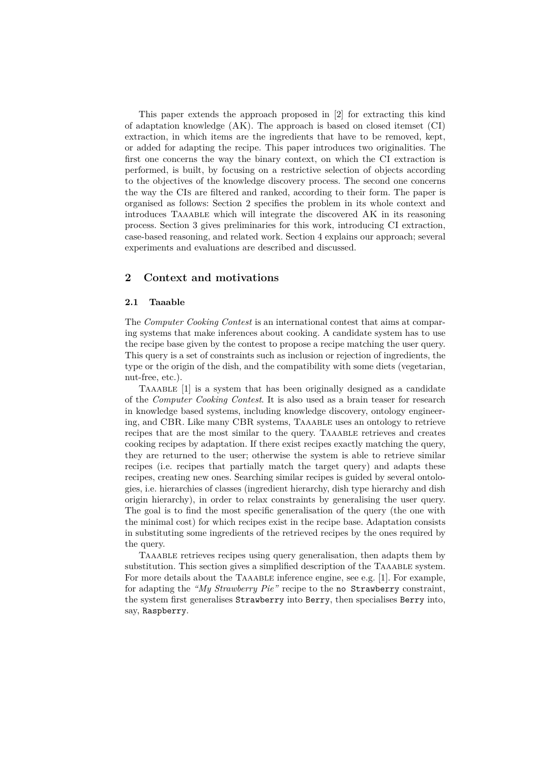This paper extends the approach proposed in [2] for extracting this kind of adaptation knowledge (AK). The approach is based on closed itemset (CI) extraction, in which items are the ingredients that have to be removed, kept, or added for adapting the recipe. This paper introduces two originalities. The first one concerns the way the binary context, on which the CI extraction is performed, is built, by focusing on a restrictive selection of objects according to the objectives of the knowledge discovery process. The second one concerns the way the CIs are filtered and ranked, according to their form. The paper is organised as follows: Section 2 specifies the problem in its whole context and introduces Taaable which will integrate the discovered AK in its reasoning process. Section 3 gives preliminaries for this work, introducing CI extraction, case-based reasoning, and related work. Section 4 explains our approach; several experiments and evaluations are described and discussed.

## **2 Context and motivations**

#### **2.1 Taaable**

The *Computer Cooking Contest* is an international contest that aims at comparing systems that make inferences about cooking. A candidate system has to use the recipe base given by the contest to propose a recipe matching the user query. This query is a set of constraints such as inclusion or rejection of ingredients, the type or the origin of the dish, and the compatibility with some diets (vegetarian, nut-free, etc.).

TAAABLE [1] is a system that has been originally designed as a candidate of the *Computer Cooking Contest*. It is also used as a brain teaser for research in knowledge based systems, including knowledge discovery, ontology engineering, and CBR. Like many CBR systems, Taaable uses an ontology to retrieve recipes that are the most similar to the query. TAAABLE retrieves and creates cooking recipes by adaptation. If there exist recipes exactly matching the query, they are returned to the user; otherwise the system is able to retrieve similar recipes (i.e. recipes that partially match the target query) and adapts these recipes, creating new ones. Searching similar recipes is guided by several ontologies, i.e. hierarchies of classes (ingredient hierarchy, dish type hierarchy and dish origin hierarchy), in order to relax constraints by generalising the user query. The goal is to find the most specific generalisation of the query (the one with the minimal cost) for which recipes exist in the recipe base. Adaptation consists in substituting some ingredients of the retrieved recipes by the ones required by the query.

Taaable retrieves recipes using query generalisation, then adapts them by substitution. This section gives a simplified description of the TAAABLE system. For more details about the TAAABLE inference engine, see e.g. [1]. For example, for adapting the *"My Strawberry Pie"* recipe to the no Strawberry constraint, the system first generalises Strawberry into Berry, then specialises Berry into, say, Raspberry.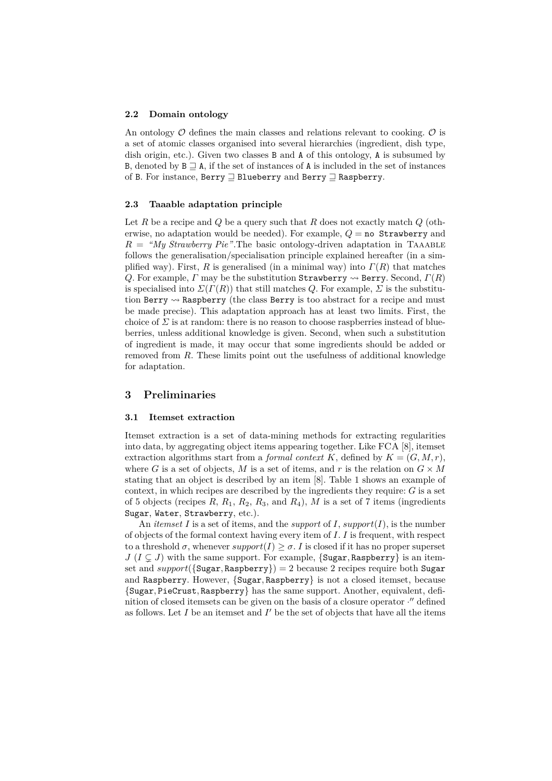#### **2.2 Domain ontology**

An ontology  $\mathcal O$  defines the main classes and relations relevant to cooking.  $\mathcal O$  is a set of atomic classes organised into several hierarchies (ingredient, dish type, dish origin, etc.). Given two classes B and A of this ontology, A is subsumed by B, denoted by  $B \supseteq A$ , if the set of instances of A is included in the set of instances of B. For instance, Berry  $\supseteq$  Blueberry and Berry  $\supseteq$  Raspberry.

#### **2.3 Taaable adaptation principle**

Let *R* be a recipe and *Q* be a query such that *R* does not exactly match *Q* (otherwise, no adaptation would be needed). For example,  $Q =$  **no Strawberry** and  $R =$  "My Strawberry Pie". The basic ontology-driven adaptation in TAAABLE follows the generalisation/specialisation principle explained hereafter (in a simplified way). First, *R* is generalised (in a minimal way) into  $\Gamma(R)$  that matches *Q*. For example, *Γ* may be the substitution Strawberry  $\rightsquigarrow$  Berry. Second,  $\Gamma(R)$ is specialised into  $\Sigma(\Gamma(R))$  that still matches *Q*. For example,  $\Sigma$  is the substitution Berry  $\rightsquigarrow$  Raspberry (the class Berry is too abstract for a recipe and must be made precise). This adaptation approach has at least two limits. First, the choice of  $\Sigma$  is at random: there is no reason to choose raspberries instead of blueberries, unless additional knowledge is given. Second, when such a substitution of ingredient is made, it may occur that some ingredients should be added or removed from *R*. These limits point out the usefulness of additional knowledge for adaptation.

#### **3 Preliminaries**

#### **3.1 Itemset extraction**

Itemset extraction is a set of data-mining methods for extracting regularities into data, by aggregating object items appearing together. Like FCA [8], itemset extraction algorithms start from a *formal context*  $K$ , defined by  $K = (G, M, r)$ , where *G* is a set of objects, *M* is a set of items, and *r* is the relation on  $G \times M$ stating that an object is described by an item [8]. Table 1 shows an example of context, in which recipes are described by the ingredients they require: *G* is a set of 5 objects (recipes  $R$ ,  $R_1$ ,  $R_2$ ,  $R_3$ , and  $R_4$ ),  $M$  is a set of 7 items (ingredients Sugar, Water, Strawberry, etc.).

An *itemset*  $I$  is a set of items, and the *support* of  $I$ , *support* $(I)$ , is the number of objects of the formal context having every item of *I*. *I* is frequent, with respect to a threshold  $\sigma$ , whenever  $support(I) \geq \sigma$ . *I* is closed if it has no proper superset  $J$  ( $I \subsetneq J$ ) with the same support. For example, {Sugar, Raspberry} is an itemset and  $support({Sugar, Raspberry}) = 2 because 2 recipes require both Sugar$ and Raspberry. However, {Sugar*,* Raspberry} is not a closed itemset, because {Sugar*,* PieCrust*,* Raspberry} has the same support. Another, equivalent, definition of closed itemsets can be given on the basis of a closure operator  $\cdot''$  defined as follows. Let  $I$  be an itemset and  $I'$  be the set of objects that have all the items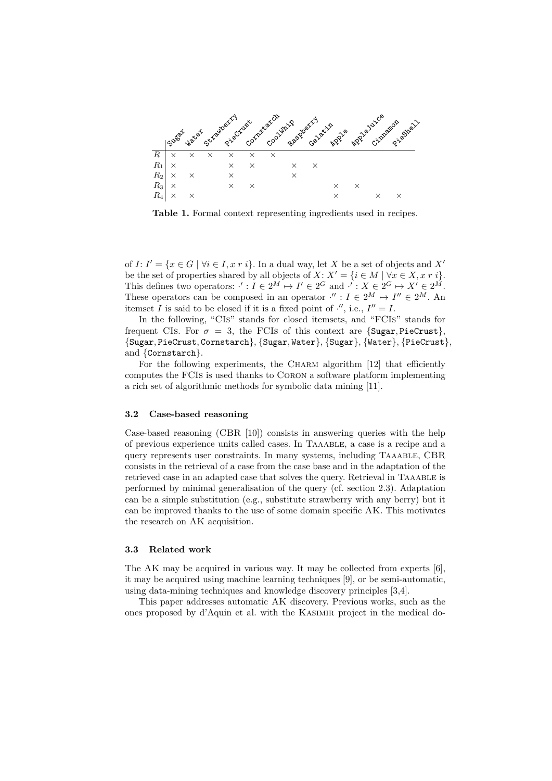

**Table 1.** Formal context representing ingredients used in recipes.

of  $I: I' = \{x \in G \mid \forall i \in I, x \in i\}$ . In a dual way, let X be a set of objects and X' be the set of properties shared by all objects of  $X: X' = \{i \in M \mid \forall x \in X, x \in i\}.$ This defines two operators:  $\cdot' : I \in 2^M \mapsto I' \in 2^G$  and  $\cdot' : X \in 2^G \mapsto X' \in 2^M$ . These operators can be composed in an operator  $\cdot'' : I \in 2^M \mapsto I'' \in 2^M$ . An itemset *I* is said to be closed if it is a fixed point of  $\cdot$ , i.e.,  $I'' = I$ .

In the following, "CIs" stands for closed itemsets, and "FCIs" stands for frequent CIs. For  $\sigma = 3$ , the FCIs of this context are {Sugar, PieCrust}, {Sugar*,* PieCrust*,* Cornstarch}, {Sugar*,* Water}, {Sugar}*,* {Water}*,* {PieCrust}, and {Cornstarch}.

For the following experiments, the CHARM algorithm [12] that efficiently computes the FCIs is used thanks to Coron a software platform implementing a rich set of algorithmic methods for symbolic data mining [11].

#### **3.2 Case-based reasoning**

Case-based reasoning (CBR [10]) consists in answering queries with the help of previous experience units called cases. In Taaable, a case is a recipe and a query represents user constraints. In many systems, including Taaable, CBR consists in the retrieval of a case from the case base and in the adaptation of the retrieved case in an adapted case that solves the query. Retrieval in TAAABLE is performed by minimal generalisation of the query (cf. section 2.3). Adaptation can be a simple substitution (e.g., substitute strawberry with any berry) but it can be improved thanks to the use of some domain specific AK. This motivates the research on AK acquisition.

#### **3.3 Related work**

The AK may be acquired in various way. It may be collected from experts [6], it may be acquired using machine learning techniques [9], or be semi-automatic, using data-mining techniques and knowledge discovery principles [3,4].

This paper addresses automatic AK discovery. Previous works, such as the ones proposed by d'Aquin et al. with the Kasimir project in the medical do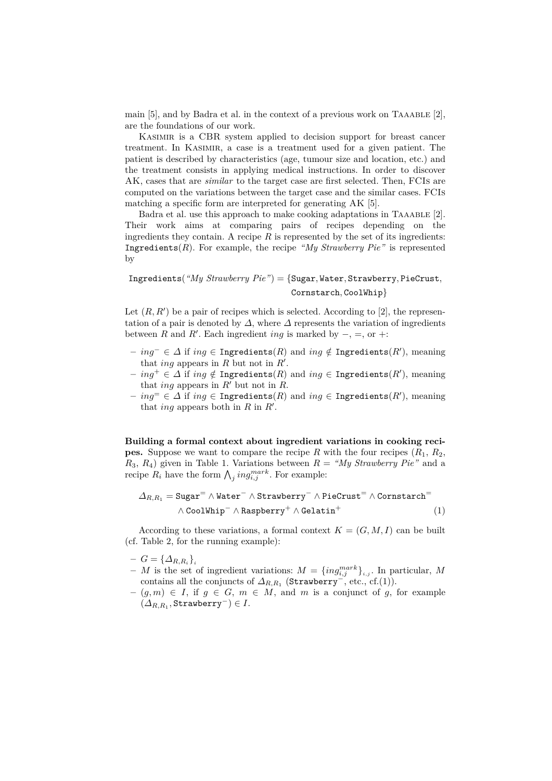main  $[5]$ , and by Badra et al. in the context of a previous work on TAAABLE  $[2]$ , are the foundations of our work.

KASIMIR is a CBR system applied to decision support for breast cancer treatment. In Kasimir, a case is a treatment used for a given patient. The patient is described by characteristics (age, tumour size and location, etc.) and the treatment consists in applying medical instructions. In order to discover AK, cases that are *similar* to the target case are first selected. Then, FCIs are computed on the variations between the target case and the similar cases. FCIs matching a specific form are interpreted for generating AK [5].

Badra et al. use this approach to make cooking adaptations in TAAABLE  $[2]$ . Their work aims at comparing pairs of recipes depending on the ingredients they contain. A recipe  $R$  is represented by the set of its ingredients: Ingredients $(R)$ . For example, the recipe *"My Strawberry Pie"* is represented by

## Ingredients(*"My Strawberry Pie"*) = {Sugar*,* Water*,* Strawberry*,* PieCrust*,* Cornstarch*,* CoolWhip}

Let  $(R, R')$  be a pair of recipes which is selected. According to  $[2]$ , the representation of a pair is denoted by  $\Delta$ , where  $\Delta$  represents the variation of ingredients between *R* and *R'*. Each ingredient *ing* is marked by  $-, =,$  or  $+:$ 

- **–** *ing*<sup>−</sup> ∈ *∆* if *ing* ∈ Ingredients(*R*) and *ing /*∈ Ingredients(*R*<sup>0</sup> ), meaning that *ing* appears in  $R$  but not in  $R'$ .
- $$ that *ing* appears in  $R'$  but not in  $R$ .
- $$ that *ing* appears both in  $R$  in  $R'$ .

**Building a formal context about ingredient variations in cooking recipes.** Suppose we want to compare the recipe *R* with the four recipes  $(R_1, R_2, R_3)$ *R*3, *R*4) given in Table 1. Variations between *R* = *"My Strawberry Pie"* and a recipe  $R_i$  have the form  $\bigwedge_j ing_{i,j}^{mark}$ . For example:

$$
\Delta_{R,R_1} = \text{Sugar}^= \wedge \text{Water}^- \wedge \text{Strawberry}^- \wedge \text{PicCrust}^= \wedge \text{Constant}^= \\ \wedge \text{CoolWhip}^- \wedge \text{Raspberry}^+ \wedge \text{Gelatin}^+ \tag{1}
$$

According to these variations, a formal context  $K = (G, M, I)$  can be built (cf. Table 2, for the running example):

- $G = {\{\Delta_{R,R_i}\}}_i$
- $-M$  is the set of ingredient variations:  $M = \{ing_{i,j}^{mark}\}_{i,j}$ . In particular, M contains all the conjuncts of  $\Delta_{R,R_1}$  (Strawberry<sup>- $\tilde{}$ </sup>, etc., cf.(1)).
- **–** (*g, m*) ∈ *I*, if *g* ∈ *G*, *m* ∈ *M*, and *m* is a conjunct of *g*, for example  $(\Delta_{R,R_1},$ Strawberry<sup>-</sup> $) \in I$ .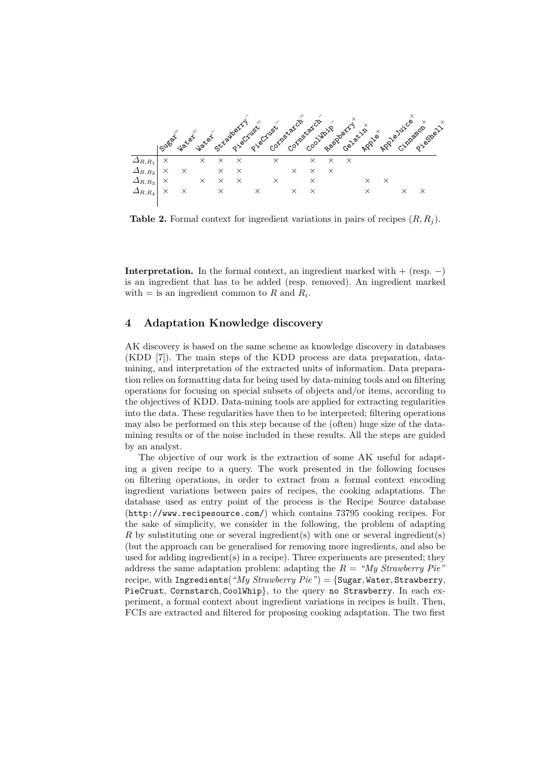

**Table 2.** Formal context for ingredient variations in pairs of recipes (*R, R<sup>j</sup>* ).

**Interpretation.** In the formal context, an ingredient marked with  $+$  (resp.  $-$ ) is an ingredient that has to be added (resp. removed). An ingredient marked with  $=$  is an ingredient common to *R* and  $R_i$ .

### **4 Adaptation Knowledge discovery**

AK discovery is based on the same scheme as knowledge discovery in databases (KDD [7]). The main steps of the KDD process are data preparation, datamining, and interpretation of the extracted units of information. Data preparation relies on formatting data for being used by data-mining tools and on filtering operations for focusing on special subsets of objects and/or items, according to the objectives of KDD. Data-mining tools are applied for extracting regularities into the data. These regularities have then to be interpreted; filtering operations may also be performed on this step because of the (often) huge size of the datamining results or of the noise included in these results. All the steps are guided by an analyst.

The objective of our work is the extraction of some AK useful for adapting a given recipe to a query. The work presented in the following focuses on filtering operations, in order to extract from a formal context encoding ingredient variations between pairs of recipes, the cooking adaptations. The database used as entry point of the process is the Recipe Source database (http://www.recipesource.com/) which contains 73795 cooking recipes. For the sake of simplicity, we consider in the following, the problem of adapting *R* by substituting one or several ingredient(s) with one or several ingredient(s) (but the approach can be generalised for removing more ingredients, and also be used for adding ingredient(s) in a recipe). Three experiments are presented; they address the same adaptation problem: adapting the *R* = *"My Strawberry Pie"* recipe, with Ingredients(*"My Strawberry Pie"*) = {Sugar*,* Water*,* Strawberry*,* PieCrust*,* Cornstarch*,* CoolWhip}, to the query no Strawberry. In each experiment, a formal context about ingredient variations in recipes is built. Then, FCIs are extracted and filtered for proposing cooking adaptation. The two first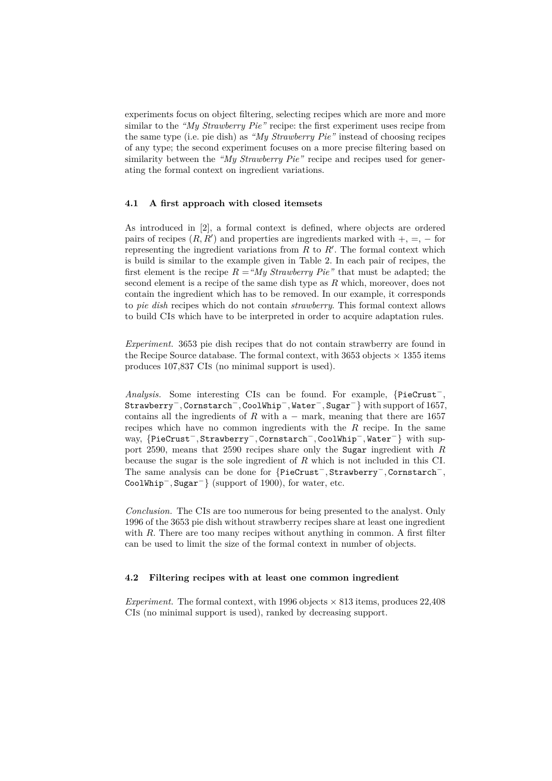experiments focus on object filtering, selecting recipes which are more and more similar to the *"My Strawberry Pie"* recipe: the first experiment uses recipe from the same type (i.e. pie dish) as *"My Strawberry Pie"* instead of choosing recipes of any type; the second experiment focuses on a more precise filtering based on similarity between the *"My Strawberry Pie"* recipe and recipes used for generating the formal context on ingredient variations.

#### **4.1 A first approach with closed itemsets**

As introduced in [2], a formal context is defined, where objects are ordered pairs of recipes  $(R, R')$  and properties are ingredients marked with  $+, =, -$  for representing the ingredient variations from  $R$  to  $R'$ . The formal context which is build is similar to the example given in Table 2. In each pair of recipes, the first element is the recipe  $R = M_y$  *Strawberry Pie*" that must be adapted; the second element is a recipe of the same dish type as *R* which, moreover, does not contain the ingredient which has to be removed. In our example, it corresponds to *pie dish* recipes which do not contain *strawberry*. This formal context allows to build CIs which have to be interpreted in order to acquire adaptation rules.

*Experiment.* 3653 pie dish recipes that do not contain strawberry are found in the Recipe Source database. The formal context, with 3653 objects  $\times$  1355 items produces 107,837 CIs (no minimal support is used).

*Analysis.* Some interesting CIs can be found. For example, {PieCrust<sup>−</sup>*,* Strawberry<sup>−</sup>*,* Cornstarch<sup>−</sup>*,* CoolWhip<sup>−</sup>*,* Water<sup>−</sup>*,* Sugar<sup>−</sup>} with support of 1657, contains all the ingredients of  $R$  with a – mark, meaning that there are 1657 recipes which have no common ingredients with the *R* recipe. In the same way, {PieCrust<sup>−</sup>*,* Strawberry<sup>−</sup>*,* Cornstarch<sup>−</sup>*,* CoolWhip<sup>−</sup>*,* Water<sup>−</sup>} with support 2590, means that 2590 recipes share only the Sugar ingredient with *R* because the sugar is the sole ingredient of *R* which is not included in this CI. The same analysis can be done for {PieCrust<sup>−</sup>*,* Strawberry<sup>−</sup>*,* Cornstarch<sup>−</sup>*,* CoolWhip<sup>−</sup>*,* Sugar<sup>−</sup>} (support of 1900), for water, etc.

*Conclusion.* The CIs are too numerous for being presented to the analyst. Only 1996 of the 3653 pie dish without strawberry recipes share at least one ingredient with *R*. There are too many recipes without anything in common. A first filter can be used to limit the size of the formal context in number of objects.

#### **4.2 Filtering recipes with at least one common ingredient**

*Experiment.* The formal context, with 1996 objects  $\times$  813 items, produces 22,408 CIs (no minimal support is used), ranked by decreasing support.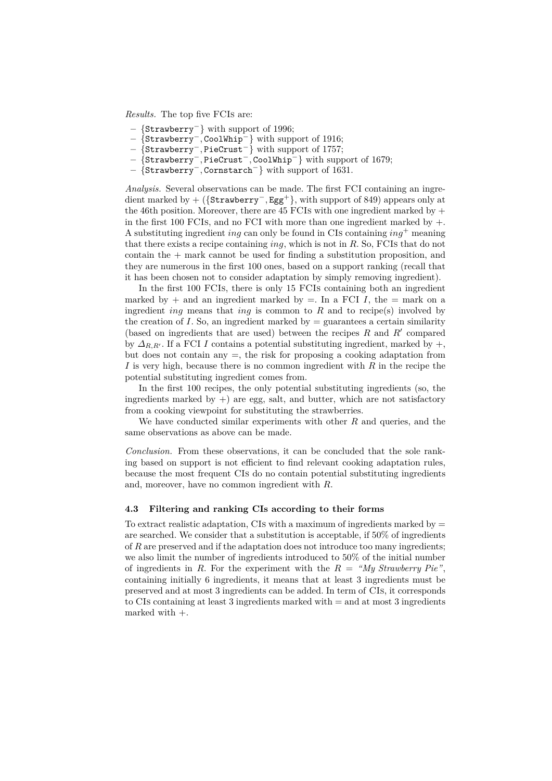*Results.* The top five FCIs are:

- **–** {Strawberry<sup>−</sup>} with support of 1996;
- **–** {Strawberry−*,* CoolWhip<sup>−</sup>} with support of 1916;
- **–** {Strawberry−*,* PieCrust<sup>−</sup>} with support of 1757;
- **–** {Strawberry−*,* PieCrust−*,* CoolWhip<sup>−</sup>} with support of 1679;
- **–** {Strawberry−*,* Cornstarch<sup>−</sup>} with support of 1631.

*Analysis.* Several observations can be made. The first FCI containing an ingredient marked by + ({Strawberry−*,* Egg<sup>+</sup>}, with support of 849) appears only at the 46th position. Moreover, there are 45 FCIs with one ingredient marked by  $+$ in the first 100 FCIs, and no FCI with more than one ingredient marked by +. A substituting ingredient *ing* can only be found in CIs containing *ing*<sup>+</sup> meaning that there exists a recipe containing *ing*, which is not in *R*. So, FCIs that do not contain the  $+$  mark cannot be used for finding a substitution proposition, and they are numerous in the first 100 ones, based on a support ranking (recall that it has been chosen not to consider adaptation by simply removing ingredient).

In the first 100 FCIs, there is only 15 FCIs containing both an ingredient marked by  $+$  and an ingredient marked by  $=$ . In a FCI *I*, the  $=$  mark on a ingredient *ing* means that *ing* is common to *R* and to recipe(s) involved by the creation of *I*. So, an ingredient marked by  $=$  guarantees a certain similarity (based on ingredients that are used) between the recipes  $R$  and  $R'$  compared by  $\Delta_{R,R}$ . If a FCI *I* contains a potential substituting ingredient, marked by  $+$ , but does not contain any  $=$ , the risk for proposing a cooking adaptation from *I* is very high, because there is no common ingredient with *R* in the recipe the potential substituting ingredient comes from.

In the first 100 recipes, the only potential substituting ingredients (so, the ingredients marked by  $+)$  are egg, salt, and butter, which are not satisfactory from a cooking viewpoint for substituting the strawberries.

We have conducted similar experiments with other *R* and queries, and the same observations as above can be made.

*Conclusion.* From these observations, it can be concluded that the sole ranking based on support is not efficient to find relevant cooking adaptation rules, because the most frequent CIs do no contain potential substituting ingredients and, moreover, have no common ingredient with *R*.

#### **4.3 Filtering and ranking CIs according to their forms**

To extract realistic adaptation, CIs with a maximum of ingredients marked by  $=$ are searched. We consider that a substitution is acceptable, if 50% of ingredients of *R* are preserved and if the adaptation does not introduce too many ingredients; we also limit the number of ingredients introduced to 50% of the initial number of ingredients in *R*. For the experiment with the *R* = *"My Strawberry Pie"*, containing initially 6 ingredients, it means that at least 3 ingredients must be preserved and at most 3 ingredients can be added. In term of CIs, it corresponds to CIs containing at least 3 ingredients marked with = and at most 3 ingredients marked with +.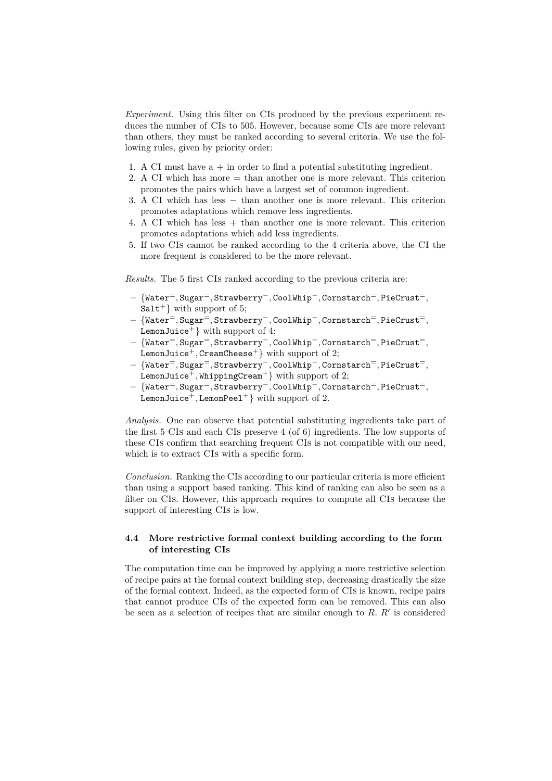*Experiment.* Using this filter on CIs produced by the previous experiment reduces the number of CIs to 505. However, because some CIs are more relevant than others, they must be ranked according to several criteria. We use the following rules, given by priority order:

- 1. A CI must have  $a + in order to find a potential substituting ingredient.$
- 2. A CI which has more = than another one is more relevant. This criterion promotes the pairs which have a largest set of common ingredient.
- 3. A CI which has less − than another one is more relevant. This criterion promotes adaptations which remove less ingredients.
- 4. A CI which has less + than another one is more relevant. This criterion promotes adaptations which add less ingredients.
- 5. If two CIs cannot be ranked according to the 4 criteria above, the CI the more frequent is considered to be the more relevant.

*Results.* The 5 first CIs ranked according to the previous criteria are:

- **–** {Water<sup>=</sup>*,* Sugar<sup>=</sup>*,* Strawberry−*,* CoolWhip−*,* Cornstarch<sup>=</sup>*,* PieCrust<sup>=</sup>*,*  $Salt<sup>+</sup>$  with support of 5;
- **–** {Water<sup>=</sup>*,* Sugar<sup>=</sup>*,* Strawberry<sup>−</sup>*,* CoolWhip<sup>−</sup>*,* Cornstarch<sup>=</sup>*,* PieCrust<sup>=</sup>*,* LemonJuice<sup>+</sup>} with support of 4;
- **–** {Water<sup>=</sup>*,* Sugar<sup>=</sup>*,* Strawberry<sup>−</sup>*,* CoolWhip<sup>−</sup>*,* Cornstarch<sup>=</sup>*,* PieCrust<sup>=</sup>*,* LemonJuice<sup>+</sup>, CreamCheese<sup>+</sup>} with support of 2;
- **–** {Water<sup>=</sup>*,* Sugar<sup>=</sup>*,* Strawberry<sup>−</sup>*,* CoolWhip<sup>−</sup>*,* Cornstarch<sup>=</sup>*,* PieCrust<sup>=</sup>*,* LemonJuice<sup>+</sup>, WhippingCream<sup>+</sup>} with support of 2;
- **–** {Water<sup>=</sup>*,* Sugar<sup>=</sup>*,* Strawberry<sup>−</sup>*,* CoolWhip<sup>−</sup>*,* Cornstarch<sup>=</sup>*,* PieCrust<sup>=</sup>*,* LemonJuice<sup>+</sup>, LemonPeel<sup>+</sup>} with support of 2.

*Analysis.* One can observe that potential substituting ingredients take part of the first 5 CIs and each CIs preserve 4 (of 6) ingredients. The low supports of these CIs confirm that searching frequent CIs is not compatible with our need, which is to extract CIs with a specific form.

*Conclusion.* Ranking the CIs according to our particular criteria is more efficient than using a support based ranking. This kind of ranking can also be seen as a filter on CIs. However, this approach requires to compute all CIs because the support of interesting CIs is low.

#### **4.4 More restrictive formal context building according to the form of interesting CIs**

The computation time can be improved by applying a more restrictive selection of recipe pairs at the formal context building step, decreasing drastically the size of the formal context. Indeed, as the expected form of CIs is known, recipe pairs that cannot produce CIs of the expected form can be removed. This can also be seen as a selection of recipes that are similar enough to  $R$ .  $R'$  is considered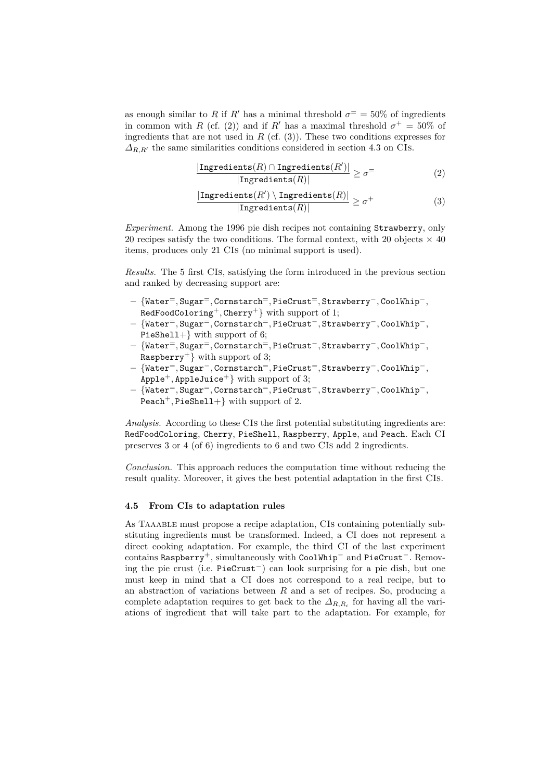as enough similar to *R* if *R*<sup> $\prime$ </sup> has a minimal threshold  $\sigma$ <sup>=</sup> = 50% of ingredients in common with *R* (cf. (2)) and if *R*<sup> $\prime$ </sup> has a maximal threshold  $\sigma$ <sup>+</sup> = 50% of ingredients that are not used in  $R$  (cf.  $(3)$ ). These two conditions expresses for  $\Delta_{R,R'}$  the same similarities conditions considered in section 4.3 on CIs.

$$
\frac{|\text{Ingredients}(R) \cap \text{Ingredients}(R')|}{|\text{Ingredients}(R)|} \ge \sigma^= \tag{2}
$$

$$
\frac{|\text{Ingredients}(R') \setminus \text{Ingredients}(R)|}{|\text{Ingredients}(R)|} \ge \sigma^+\tag{3}
$$

*Experiment.* Among the 1996 pie dish recipes not containing Strawberry, only 20 recipes satisfy the two conditions. The formal context, with 20 objects  $\times$  40 items, produces only 21 CIs (no minimal support is used).

*Results.* The 5 first CIs, satisfying the form introduced in the previous section and ranked by decreasing support are:

- **–** {Water<sup>=</sup>*,* Sugar<sup>=</sup>*,* Cornstarch<sup>=</sup>*,* PieCrust<sup>=</sup>*,* Strawberry−*,* CoolWhip−*,* RedFoodColoring<sup>+</sup>*,* Cherry<sup>+</sup>} with support of 1;
- **–** {Water<sup>=</sup>*,* Sugar<sup>=</sup>*,* Cornstarch<sup>=</sup>*,* PieCrust<sup>−</sup>*,* Strawberry<sup>−</sup>*,* CoolWhip<sup>−</sup>*,* PieShell+} with support of 6;
- **–** {Water<sup>=</sup>*,* Sugar<sup>=</sup>*,* Cornstarch<sup>=</sup>*,* PieCrust<sup>−</sup>*,* Strawberry<sup>−</sup>*,* CoolWhip<sup>−</sup>*,* Raspberry<sup>+</sup>} with support of 3;
- **–** {Water<sup>=</sup>*,* Sugar<sup>−</sup>*,* Cornstarch<sup>=</sup>*,* PieCrust<sup>=</sup>*,* Strawberry<sup>−</sup>*,* CoolWhip<sup>−</sup>*,* Apple<sup>+</sup>, AppleJuice<sup>+</sup>} with support of 3;
- **–** {Water<sup>=</sup>*,* Sugar<sup>=</sup>*,* Cornstarch<sup>=</sup>*,* PieCrust<sup>−</sup>*,* Strawberry<sup>−</sup>*,* CoolWhip<sup>−</sup>*,* Peach<sup>+</sup>, PieShell+} with support of 2.

*Analysis.* According to these CIs the first potential substituting ingredients are: RedFoodColoring, Cherry, PieShell, Raspberry, Apple, and Peach. Each CI preserves 3 or 4 (of 6) ingredients to 6 and two CIs add 2 ingredients.

*Conclusion.* This approach reduces the computation time without reducing the result quality. Moreover, it gives the best potential adaptation in the first CIs.

#### **4.5 From CIs to adaptation rules**

As Taaable must propose a recipe adaptation, CIs containing potentially substituting ingredients must be transformed. Indeed, a CI does not represent a direct cooking adaptation. For example, the third CI of the last experiment contains Raspberry<sup>+</sup>, simultaneously with CoolWhip<sup>−</sup> and PieCrust<sup>−</sup>. Removing the pie crust (i.e. PieCrust<sup>−</sup>) can look surprising for a pie dish, but one must keep in mind that a CI does not correspond to a real recipe, but to an abstraction of variations between *R* and a set of recipes. So, producing a complete adaptation requires to get back to the *∆R,R<sup>i</sup>* for having all the variations of ingredient that will take part to the adaptation. For example, for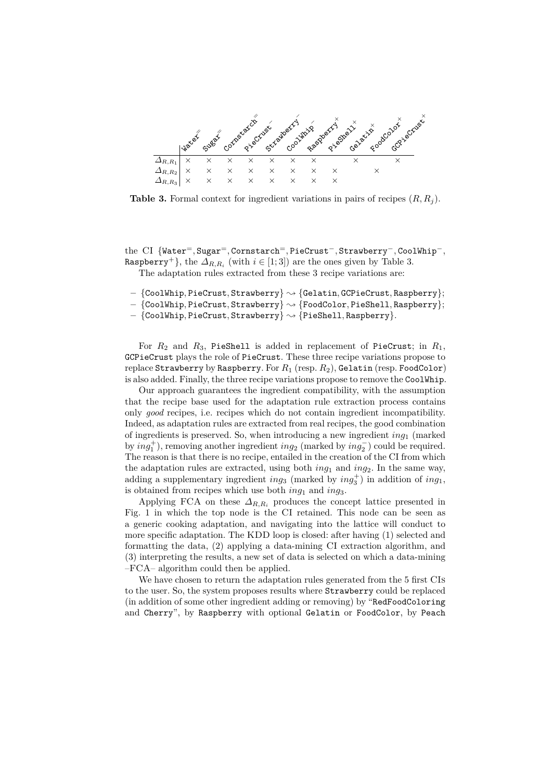

**Table 3.** Formal context for ingredient variations in pairs of recipes (*R, R<sup>j</sup>* ).

the CI {Water<sup>=</sup>*,* Sugar<sup>=</sup>*,* Cornstarch<sup>=</sup>*,* PieCrust−*,* Strawberry−*,* CoolWhip−*,* Raspberry<sup>+</sup>}, the  $\Delta_{R,R_i}$  (with  $i \in [1;3]$ ) are the ones given by Table 3. The adaptation rules extracted from these 3 recipe variations are:

$$
- \{ \texttt{CoolWhip}, \texttt{PicCrust}, \texttt{Strawberry} \} \sim \{ \texttt{Gelatin}, \texttt{GCPieCrust}, \texttt{Raspberry} \};
$$

- **–** {CoolWhip*,* PieCrust*,* Strawberry} ❀ {FoodColor*,* PieShell*,* Raspberry};
- **–** {CoolWhip*,* PieCrust*,* Strawberry} ❀ {PieShell*,* Raspberry}.

For *R*<sup>2</sup> and *R*3, PieShell is added in replacement of PieCrust; in *R*1, GCPieCrust plays the role of PieCrust. These three recipe variations propose to replace Strawberry by Raspberry. For *R*<sup>1</sup> (resp. *R*2), Gelatin (resp. FoodColor) is also added. Finally, the three recipe variations propose to remove the CoolWhip.

Our approach guarantees the ingredient compatibility, with the assumption that the recipe base used for the adaptation rule extraction process contains only *good* recipes, i.e. recipes which do not contain ingredient incompatibility. Indeed, as adaptation rules are extracted from real recipes, the good combination of ingredients is preserved. So, when introducing a new ingredient *ing*<sup>1</sup> (marked by  $ing_1^+$ ), removing another ingredient  $ing_2$  (marked by  $ing_2^-$ ) could be required. The reason is that there is no recipe, entailed in the creation of the CI from which the adaptation rules are extracted, using both *ing*<sub>1</sub> and *ing*<sub>2</sub>. In the same way, adding a supplementary ingredient  $ing_3$  (marked by  $ing_3^+$ ) in addition of  $ing_1$ , is obtained from recipes which use both *ing*<sub>1</sub> and *ing*<sub>3</sub>.

Applying FCA on these  $\Delta_{R,R_i}$  produces the concept lattice presented in Fig. 1 in which the top node is the CI retained. This node can be seen as a generic cooking adaptation, and navigating into the lattice will conduct to more specific adaptation. The KDD loop is closed: after having (1) selected and formatting the data, (2) applying a data-mining CI extraction algorithm, and (3) interpreting the results, a new set of data is selected on which a data-mining –FCA– algorithm could then be applied.

We have chosen to return the adaptation rules generated from the 5 first CIs to the user. So, the system proposes results where Strawberry could be replaced (in addition of some other ingredient adding or removing) by "RedFoodColoring and Cherry", by Raspberry with optional Gelatin or FoodColor, by Peach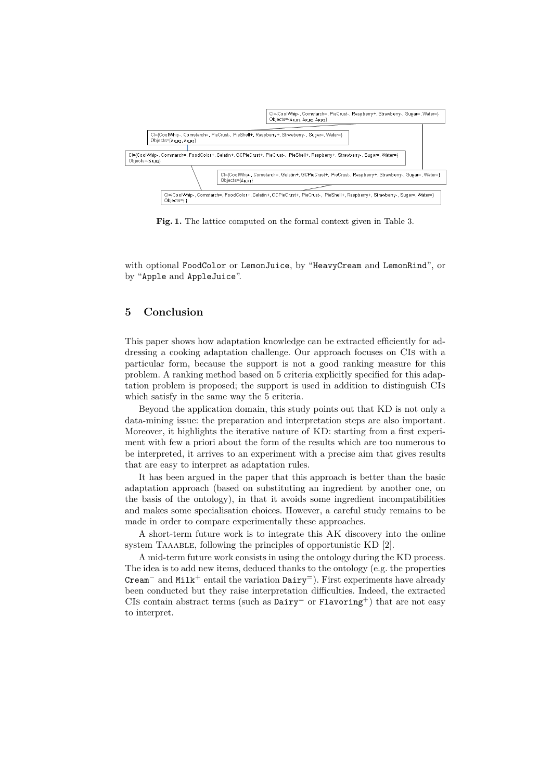

**Fig. 1.** The lattice computed on the formal context given in Table 3.

with optional FoodColor or LemonJuice, by "HeavyCream and LemonRind", or by "Apple and AppleJuice".

### **5 Conclusion**

This paper shows how adaptation knowledge can be extracted efficiently for addressing a cooking adaptation challenge. Our approach focuses on CIs with a particular form, because the support is not a good ranking measure for this problem. A ranking method based on 5 criteria explicitly specified for this adaptation problem is proposed; the support is used in addition to distinguish CIs which satisfy in the same way the 5 criteria.

Beyond the application domain, this study points out that KD is not only a data-mining issue: the preparation and interpretation steps are also important. Moreover, it highlights the iterative nature of KD: starting from a first experiment with few a priori about the form of the results which are too numerous to be interpreted, it arrives to an experiment with a precise aim that gives results that are easy to interpret as adaptation rules.

It has been argued in the paper that this approach is better than the basic adaptation approach (based on substituting an ingredient by another one, on the basis of the ontology), in that it avoids some ingredient incompatibilities and makes some specialisation choices. However, a careful study remains to be made in order to compare experimentally these approaches.

A short-term future work is to integrate this AK discovery into the online system TAAABLE, following the principles of opportunistic KD [2].

A mid-term future work consists in using the ontology during the KD process. The idea is to add new items, deduced thanks to the ontology (e.g. the properties Cream<sup>–</sup> and Milk<sup>+</sup> entail the variation  $\text{Dairy}^=$ ). First experiments have already been conducted but they raise interpretation difficulties. Indeed, the extracted CIs contain abstract terms (such as  $\text{Dairy}^=$  or  $\text{Flavoring}^+$ ) that are not easy to interpret.